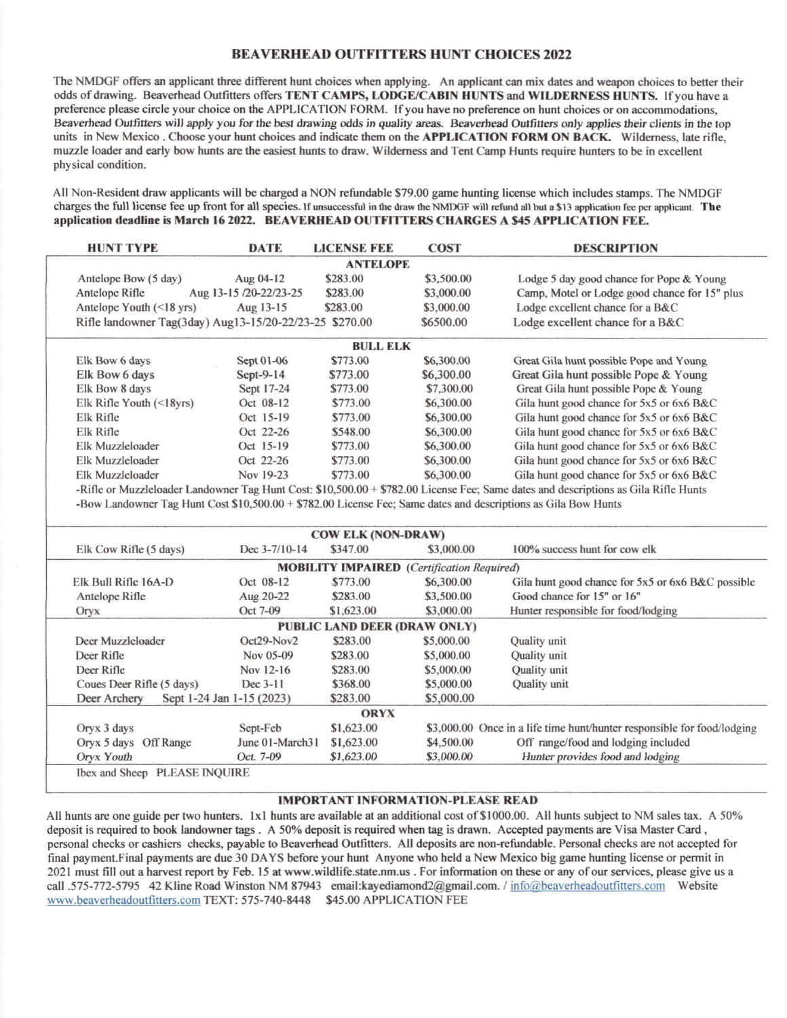## **BEAVERHEAD OUTFITTERS HUNT CHOICES 2022**

The NMDGF offers an applicant three different hunt choices when applying. An applicant can mix dates and weapon choices to better their odds of drawing. Beaverhead Outfitters offers TENT CAMPS, LODGE/CABIN HUNTS and WILDERNESS HUNTS. If you have a preference please circle your choice on the APPLICATION FORM. If you have no preference on hunt choices or on accommodations. Beaverhead Outfitters will apply you for the best drawing odds in quality areas. Beaverhead Outfitters only applies their clients in the top units in New Mexico. Choose your hunt choices and indicate them on the APPLICATION FORM ON BACK. Wilderness, late rifle, muzzle loader and early bow hunts are the easiest hunts to draw. Wilderness and Tent Camp Hunts require hunters to be in excellent physical condition.

All Non-Resident draw applicants will be charged a NON refundable \$79.00 game hunting license which includes stamps. The NMDGF charges the full license fee up front for all species. If unsuccessful in the draw the NMDGF will refund all but a \$13 application fee per applicant. The application deadline is March 16 2022. BEAVERHEAD OUTFITTERS CHARGES A \$45 APPLICATION FEE.

|                 | <b>HUNT TYPE</b>                                        | <b>DATE</b>            | <b>LICENSE FEE</b> | <b>COST</b> | <b>DESCRIPTION</b>                                                                                                                  |  |  |  |  |  |  |
|-----------------|---------------------------------------------------------|------------------------|--------------------|-------------|-------------------------------------------------------------------------------------------------------------------------------------|--|--|--|--|--|--|
|                 | <b>ANTELOPE</b>                                         |                        |                    |             |                                                                                                                                     |  |  |  |  |  |  |
|                 | Antelope Bow (5 day)                                    | Aug 04-12              | \$283.00           | \$3,500.00  | Lodge 5 day good chance for Pope & Young                                                                                            |  |  |  |  |  |  |
|                 | Antelope Rifle                                          | Aug 13-15 /20-22/23-25 | \$283.00           | \$3,000.00  | Camp, Motel or Lodge good chance for 15" plus                                                                                       |  |  |  |  |  |  |
|                 | Antelope Youth $(\leq 18 \text{ yrs})$                  | Aug 13-15              | \$283.00           | \$3,000.00  | Lodge excellent chance for a B&C                                                                                                    |  |  |  |  |  |  |
|                 | Rifle landowner Tag(3day) Aug13-15/20-22/23-25 \$270.00 |                        |                    | \$6500.00   | Lodge excellent chance for a B&C                                                                                                    |  |  |  |  |  |  |
| <b>BULL ELK</b> |                                                         |                        |                    |             |                                                                                                                                     |  |  |  |  |  |  |
|                 | Elk Bow 6 days                                          | Sept 01-06             | \$773.00           | \$6,300.00  | Great Gila hunt possible Pope and Young                                                                                             |  |  |  |  |  |  |
|                 | Elk Bow 6 days                                          | Sept-9-14              | \$773.00           | \$6,300.00  | Great Gila hunt possible Pope & Young                                                                                               |  |  |  |  |  |  |
|                 | Elk Bow 8 days                                          | Sept 17-24             | \$773.00           | \$7,300.00  | Great Gila hunt possible Pope & Young                                                                                               |  |  |  |  |  |  |
|                 | Elk Rifle Youth $(\leq 18$ yrs)                         | Oct 08-12              | \$773.00           | \$6,300.00  | Gila hunt good chance for 5x5 or 6x6 B&C                                                                                            |  |  |  |  |  |  |
|                 | Elk Rifle                                               | Oct 15-19              | \$773.00           | \$6,300.00  | Gila hunt good chance for 5x5 or 6x6 B&C                                                                                            |  |  |  |  |  |  |
|                 | Elk Rifle                                               | Oct 22-26              | \$548.00           | \$6,300.00  | Gila hunt good chance for 5x5 or 6x6 B&C                                                                                            |  |  |  |  |  |  |
|                 | Elk Muzzleloader                                        | Oct 15-19              | \$773.00           | \$6,300.00  | Gila hunt good chance for 5x5 or 6x6 B&C                                                                                            |  |  |  |  |  |  |
|                 | Elk Muzzleloader                                        | Oct 22-26              | \$773.00           | \$6,300.00  | Gila hunt good chance for 5x5 or 6x6 B&C                                                                                            |  |  |  |  |  |  |
|                 | Elk Muzzleloader                                        | Nov 19-23              | \$773.00           | \$6,300.00  | Gila hunt good chance for 5x5 or 6x6 B&C                                                                                            |  |  |  |  |  |  |
|                 |                                                         |                        |                    |             | -Rifle or Muzzleloader Landowner Tao Hunt Cost: \$10,500,00 + \$782,00 License Fee: Same dates and descriptions as Gila Rifle Hunts |  |  |  |  |  |  |

-Kitie or Muzzleloader Landowner Tag Hunt Cost: \$10,500.00 + \$782.00 License Fee; Same dates and descriptions as Gila Rifle Hunts -Bow Landowner Tag Hunt Cost \$10,500.00 + \$782.00 License Fee; Same dates and descriptions as Gila Bow Hunts

|                           |                           | <b>COW ELK (NON-DRAW)</b> |                                                   |                                                                         |
|---------------------------|---------------------------|---------------------------|---------------------------------------------------|-------------------------------------------------------------------------|
| Elk Cow Rifle (5 days)    | Dec $3-7/10-14$           | \$347.00                  | \$3,000.00                                        | 100% success hunt for cow elk                                           |
|                           |                           |                           | <b>MOBILITY IMPAIRED</b> (Certification Required) |                                                                         |
| Elk Bull Rifle 16A-D      | Oct 08-12                 | \$773.00                  | \$6,300.00                                        | Gila hunt good chance for 5x5 or 6x6 B&C possible                       |
| Antelope Rifle            | Aug 20-22                 | \$283.00                  | \$3,500.00                                        | Good chance for 15" or 16"                                              |
| Oryx                      | Oct 7-09                  | \$1,623.00                | \$3,000.00                                        | Hunter responsible for food/lodging                                     |
|                           |                           |                           | <b>PUBLIC LAND DEER (DRAW ONLY)</b>               |                                                                         |
| Deer Muzzleloader         | $Oct29-Nov2$              | \$283.00                  | \$5,000.00                                        | Quality unit                                                            |
| Deer Rifle                | Nov 05-09                 | \$283.00                  | \$5,000.00                                        | <b>Quality</b> unit                                                     |
| Deer Rifle                | Nov 12-16                 | \$283.00                  | \$5,000.00                                        | Quality unit                                                            |
| Coues Deer Rifle (5 days) | Dec 3-11                  | \$368.00                  | \$5,000.00                                        | Quality unit                                                            |
| Deer Archery              | Sept 1-24 Jan 1-15 (2023) | \$283.00                  | \$5,000.00                                        |                                                                         |
|                           |                           | <b>ORYX</b>               |                                                   |                                                                         |
| Oryx 3 days               | Sept-Feb                  | \$1,623.00                |                                                   | \$3,000.00 Once in a life time hunt/hunter responsible for food/lodging |
| Oryx 5 days Off Range     | June 01-March31           | \$1,623.00                | \$4,500.00                                        | Off range/food and lodging included                                     |
| Oryx Youth                | Oct. 7-09                 | \$1,623.00                | \$3,000.00                                        | Hunter provides food and lodging                                        |

#### **IMPORTANT INFORMATION-PLEASE READ**

All hunts are one guide per two hunters. 1x1 hunts are available at an additional cost of \$1000.00. All hunts subject to NM sales tax. A 50% deposit is required to book landowner tags. A 50% deposit is required when tag is drawn. Accepted payments are Visa Master Card, personal checks or cashiers checks, payable to Beaverhead Outfitters. All deposits are non-refundable. Personal checks are not accepted for final payment.Final payments are due 30 DAYS before your hunt Anyone who held a New Mexico big game hunting license or permit in 2021 must fill out a harvest report by Feb. 15 at www.wildlife.state.nm.us . For information on these or any of our services, please give us a call .575-772-5795 42 Kline Road Winston NM 87943 email:kayediamond2@gmail.com. / info@beaverheadoutfitters.com Website www.beaverheadoutfitters.com TEXT: 575-740-8448 \$45.00 APPLICATION FEE